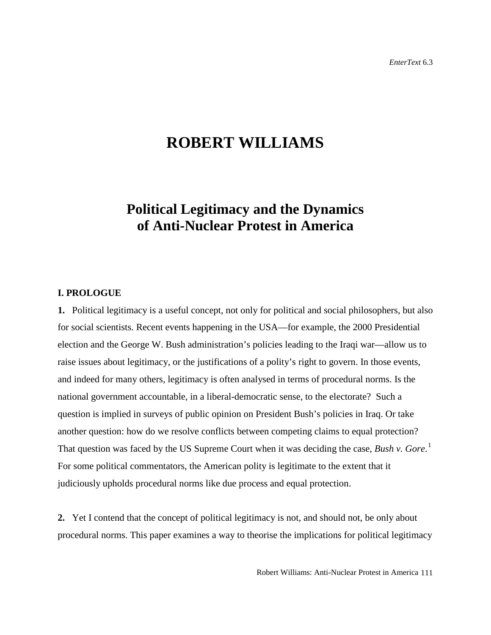# **ROBERT WILLIAMS**

## **Political Legitimacy and the Dynamics of Anti-Nuclear Protest in America**

## **I. PROLOGUE**

**1.** Political legitimacy is a useful concept, not only for political and social philosophers, but also for social scientists. Recent events happening in the USA—for example, the 2000 Presidential election and the George W. Bush administration's policies leading to the Iraqi war—allow us to raise issues about legitimacy, or the justifications of a polity's right to govern. In those events, and indeed for many others, legitimacy is often analysed in terms of procedural norms. Is the national government accountable, in a liberal-democratic sense, to the electorate? Such a question is implied in surveys of public opinion on President Bush's policies in Iraq. Or take another question: how do we resolve conflicts between competing claims to equal protection? That question was faced by the US Supreme Court when it was deciding the case, *Bush v. Gore*. [1](#page-27-0) For some political commentators, the American polity is legitimate to the extent that it judiciously upholds procedural norms like due process and equal protection.

**2.** Yet I contend that the concept of political legitimacy is not, and should not, be only about procedural norms. This paper examines a way to theorise the implications for political legitimacy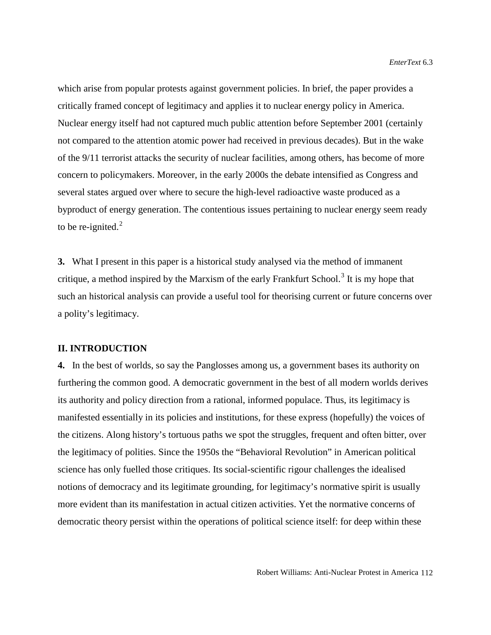which arise from popular protests against government policies. In brief, the paper provides a critically framed concept of legitimacy and applies it to nuclear energy policy in America. Nuclear energy itself had not captured much public attention before September 2001 (certainly not compared to the attention atomic power had received in previous decades). But in the wake of the 9/11 terrorist attacks the security of nuclear facilities, among others, has become of more concern to policymakers. Moreover, in the early 2000s the debate intensified as Congress and several states argued over where to secure the high-level radioactive waste produced as a byproduct of energy generation. The contentious issues pertaining to nuclear energy seem ready to be re-ignited. $2$ 

**3.** What I present in this paper is a historical study analysed via the method of immanent critique, a method inspired by the Marxism of the early Frankfurt School.<sup>[3](#page-28-1)</sup> It is my hope that such an historical analysis can provide a useful tool for theorising current or future concerns over a polity's legitimacy.

## **II. INTRODUCTION**

**4.** In the best of worlds, so say the Panglosses among us, a government bases its authority on furthering the common good. A democratic government in the best of all modern worlds derives its authority and policy direction from a rational, informed populace. Thus, its legitimacy is manifested essentially in its policies and institutions, for these express (hopefully) the voices of the citizens. Along history's tortuous paths we spot the struggles, frequent and often bitter, over the legitimacy of polities. Since the 1950s the "Behavioral Revolution" in American political science has only fuelled those critiques. Its social-scientific rigour challenges the idealised notions of democracy and its legitimate grounding, for legitimacy's normative spirit is usually more evident than its manifestation in actual citizen activities. Yet the normative concerns of democratic theory persist within the operations of political science itself: for deep within these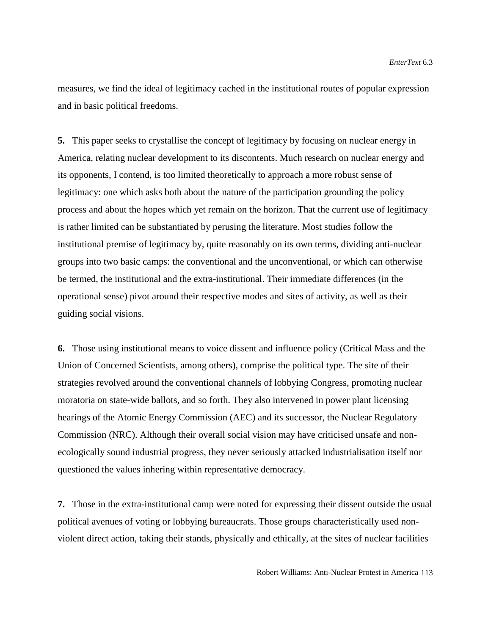measures, we find the ideal of legitimacy cached in the institutional routes of popular expression and in basic political freedoms.

**5.** This paper seeks to crystallise the concept of legitimacy by focusing on nuclear energy in America, relating nuclear development to its discontents. Much research on nuclear energy and its opponents, I contend, is too limited theoretically to approach a more robust sense of legitimacy: one which asks both about the nature of the participation grounding the policy process and about the hopes which yet remain on the horizon. That the current use of legitimacy is rather limited can be substantiated by perusing the literature. Most studies follow the institutional premise of legitimacy by, quite reasonably on its own terms, dividing anti-nuclear groups into two basic camps: the conventional and the unconventional, or which can otherwise be termed, the institutional and the extra-institutional. Their immediate differences (in the operational sense) pivot around their respective modes and sites of activity, as well as their guiding social visions.

**6.** Those using institutional means to voice dissent and influence policy (Critical Mass and the Union of Concerned Scientists, among others), comprise the political type. The site of their strategies revolved around the conventional channels of lobbying Congress, promoting nuclear moratoria on state-wide ballots, and so forth. They also intervened in power plant licensing hearings of the Atomic Energy Commission (AEC) and its successor, the Nuclear Regulatory Commission (NRC). Although their overall social vision may have criticised unsafe and nonecologically sound industrial progress, they never seriously attacked industrialisation itself nor questioned the values inhering within representative democracy.

**7.** Those in the extra-institutional camp were noted for expressing their dissent outside the usual political avenues of voting or lobbying bureaucrats. Those groups characteristically used nonviolent direct action, taking their stands, physically and ethically, at the sites of nuclear facilities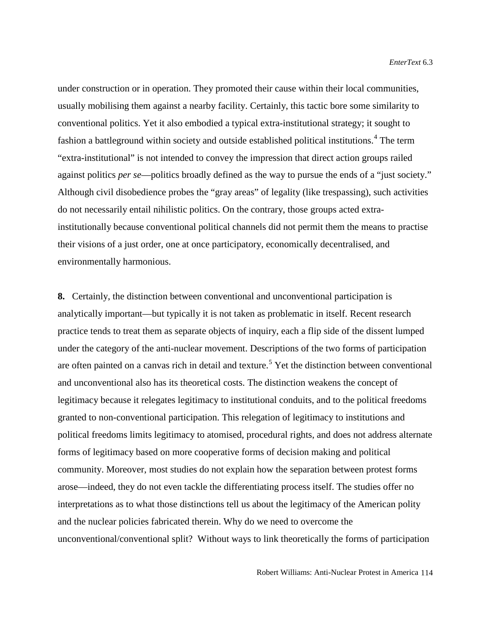under construction or in operation. They promoted their cause within their local communities, usually mobilising them against a nearby facility. Certainly, this tactic bore some similarity to conventional politics. Yet it also embodied a typical extra-institutional strategy; it sought to fashion a battleground within society and outside established political institutions.<sup>[4](#page-29-0)</sup> The term "extra-institutional" is not intended to convey the impression that direct action groups railed against politics *per se*—politics broadly defined as the way to pursue the ends of a "just society." Although civil disobedience probes the "gray areas" of legality (like trespassing), such activities do not necessarily entail nihilistic politics. On the contrary, those groups acted extrainstitutionally because conventional political channels did not permit them the means to practise their visions of a just order, one at once participatory, economically decentralised, and environmentally harmonious.

**8.** Certainly, the distinction between conventional and unconventional participation is analytically important—but typically it is not taken as problematic in itself. Recent research practice tends to treat them as separate objects of inquiry, each a flip side of the dissent lumped under the category of the anti-nuclear movement. Descriptions of the two forms of participation are often painted on a canvas rich in detail and texture.<sup>[5](#page-29-1)</sup> Yet the distinction between conventional and unconventional also has its theoretical costs. The distinction weakens the concept of legitimacy because it relegates legitimacy to institutional conduits, and to the political freedoms granted to non-conventional participation. This relegation of legitimacy to institutions and political freedoms limits legitimacy to atomised, procedural rights, and does not address alternate forms of legitimacy based on more cooperative forms of decision making and political community. Moreover, most studies do not explain how the separation between protest forms arose—indeed, they do not even tackle the differentiating process itself. The studies offer no interpretations as to what those distinctions tell us about the legitimacy of the American polity and the nuclear policies fabricated therein. Why do we need to overcome the unconventional/conventional split? Without ways to link theoretically the forms of participation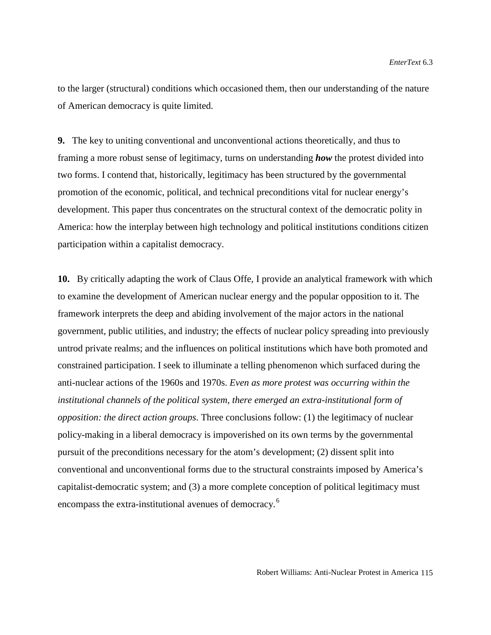to the larger (structural) conditions which occasioned them, then our understanding of the nature of American democracy is quite limited.

**9.** The key to uniting conventional and unconventional actions theoretically, and thus to framing a more robust sense of legitimacy, turns on understanding *how* the protest divided into two forms. I contend that, historically, legitimacy has been structured by the governmental promotion of the economic, political, and technical preconditions vital for nuclear energy's development. This paper thus concentrates on the structural context of the democratic polity in America: how the interplay between high technology and political institutions conditions citizen participation within a capitalist democracy.

**10.** By critically adapting the work of Claus Offe, I provide an analytical framework with which to examine the development of American nuclear energy and the popular opposition to it. The framework interprets the deep and abiding involvement of the major actors in the national government, public utilities, and industry; the effects of nuclear policy spreading into previously untrod private realms; and the influences on political institutions which have both promoted and constrained participation. I seek to illuminate a telling phenomenon which surfaced during the anti-nuclear actions of the 1960s and 1970s. *Even as more protest was occurring within the institutional channels of the political system, there emerged an extra-institutional form of opposition: the direct action groups*. Three conclusions follow: (1) the legitimacy of nuclear policy-making in a liberal democracy is impoverished on its own terms by the governmental pursuit of the preconditions necessary for the atom's development; (2) dissent split into conventional and unconventional forms due to the structural constraints imposed by America's capitalist-democratic system; and (3) a more complete conception of political legitimacy must encompass the extra-institutional avenues of democracy.<sup>[6](#page-29-2)</sup>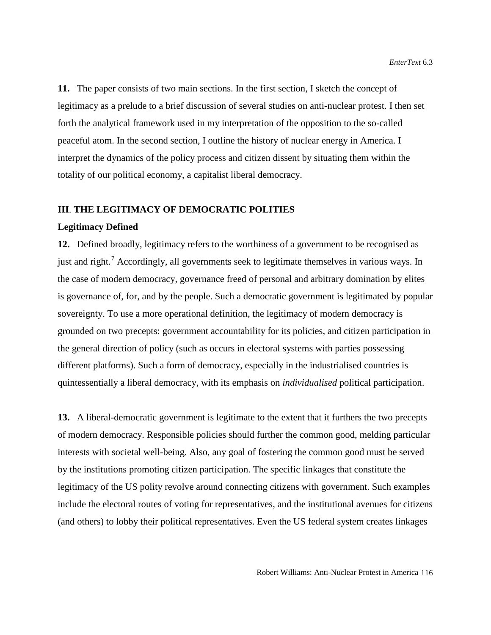**11.** The paper consists of two main sections. In the first section, I sketch the concept of legitimacy as a prelude to a brief discussion of several studies on anti-nuclear protest. I then set forth the analytical framework used in my interpretation of the opposition to the so-called peaceful atom. In the second section, I outline the history of nuclear energy in America. I interpret the dynamics of the policy process and citizen dissent by situating them within the totality of our political economy, a capitalist liberal democracy.

## **III**. **THE LEGITIMACY OF DEMOCRATIC POLITIES**

## **Legitimacy Defined**

**12.** Defined broadly, legitimacy refers to the worthiness of a government to be recognised as just and right.<sup>[7](#page-30-0)</sup> Accordingly, all governments seek to legitimate themselves in various ways. In the case of modern democracy, governance freed of personal and arbitrary domination by elites is governance of, for, and by the people. Such a democratic government is legitimated by popular sovereignty. To use a more operational definition, the legitimacy of modern democracy is grounded on two precepts: government accountability for its policies, and citizen participation in the general direction of policy (such as occurs in electoral systems with parties possessing different platforms). Such a form of democracy, especially in the industrialised countries is quintessentially a liberal democracy, with its emphasis on *individualised* political participation.

**13.** A liberal-democratic government is legitimate to the extent that it furthers the two precepts of modern democracy. Responsible policies should further the common good, melding particular interests with societal well-being. Also, any goal of fostering the common good must be served by the institutions promoting citizen participation. The specific linkages that constitute the legitimacy of the US polity revolve around connecting citizens with government. Such examples include the electoral routes of voting for representatives, and the institutional avenues for citizens (and others) to lobby their political representatives. Even the US federal system creates linkages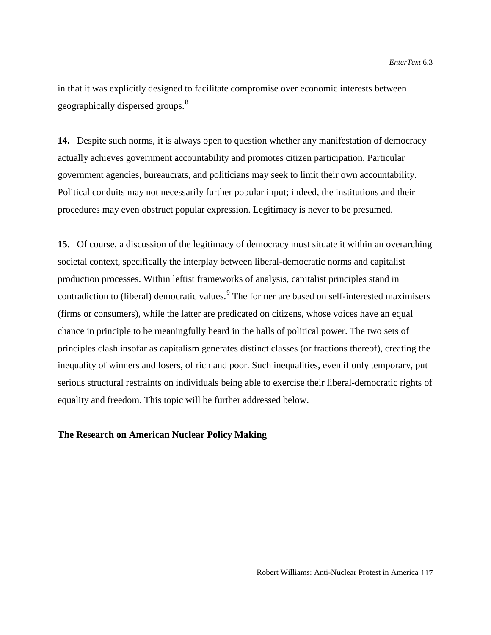in that it was explicitly designed to facilitate compromise over economic interests between geographically dispersed groups.<sup>[8](#page-31-0)</sup>

**14.** Despite such norms, it is always open to question whether any manifestation of democracy actually achieves government accountability and promotes citizen participation. Particular government agencies, bureaucrats, and politicians may seek to limit their own accountability. Political conduits may not necessarily further popular input; indeed, the institutions and their procedures may even obstruct popular expression. Legitimacy is never to be presumed.

**15.** Of course, a discussion of the legitimacy of democracy must situate it within an overarching societal context, specifically the interplay between liberal-democratic norms and capitalist production processes. Within leftist frameworks of analysis, capitalist principles stand in contradiction to (liberal) democratic values.<sup>[9](#page-31-1)</sup> The former are based on self-interested maximisers (firms or consumers), while the latter are predicated on citizens, whose voices have an equal chance in principle to be meaningfully heard in the halls of political power. The two sets of principles clash insofar as capitalism generates distinct classes (or fractions thereof), creating the inequality of winners and losers, of rich and poor. Such inequalities, even if only temporary, put serious structural restraints on individuals being able to exercise their liberal-democratic rights of equality and freedom. This topic will be further addressed below.

## **The Research on American Nuclear Policy Making**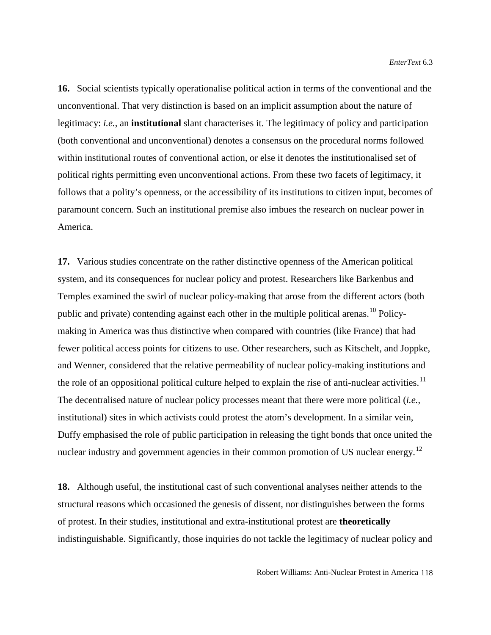**16.** Social scientists typically operationalise political action in terms of the conventional and the unconventional. That very distinction is based on an implicit assumption about the nature of legitimacy: *i.e.*, an **institutional** slant characterises it. The legitimacy of policy and participation (both conventional and unconventional) denotes a consensus on the procedural norms followed within institutional routes of conventional action, or else it denotes the institutionalised set of political rights permitting even unconventional actions. From these two facets of legitimacy, it follows that a polity's openness, or the accessibility of its institutions to citizen input, becomes of paramount concern. Such an institutional premise also imbues the research on nuclear power in America.

**17.** Various studies concentrate on the rather distinctive openness of the American political system, and its consequences for nuclear policy and protest. Researchers like Barkenbus and Temples examined the swirl of nuclear policy-making that arose from the different actors (both public and private) contending against each other in the multiple political arenas.<sup>[10](#page-31-2)</sup> Policymaking in America was thus distinctive when compared with countries (like France) that had fewer political access points for citizens to use. Other researchers, such as Kitschelt, and Joppke, and Wenner, considered that the relative permeability of nuclear policy-making institutions and the role of an oppositional political culture helped to explain the rise of anti-nuclear activities.<sup>[11](#page-31-3)</sup> The decentralised nature of nuclear policy processes meant that there were more political (*i.e.*, institutional) sites in which activists could protest the atom's development. In a similar vein, Duffy emphasised the role of public participation in releasing the tight bonds that once united the nuclear industry and government agencies in their common promotion of US nuclear energy.<sup>12</sup>

**18.** Although useful, the institutional cast of such conventional analyses neither attends to the structural reasons which occasioned the genesis of dissent, nor distinguishes between the forms of protest. In their studies, institutional and extra-institutional protest are **theoretically** indistinguishable. Significantly, those inquiries do not tackle the legitimacy of nuclear policy and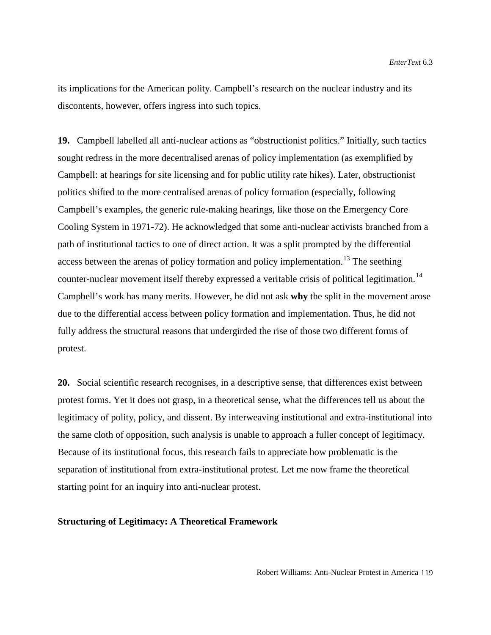its implications for the American polity. Campbell's research on the nuclear industry and its discontents, however, offers ingress into such topics.

**19.** Campbell labelled all anti-nuclear actions as "obstructionist politics." Initially, such tactics sought redress in the more decentralised arenas of policy implementation (as exemplified by Campbell: at hearings for site licensing and for public utility rate hikes). Later, obstructionist politics shifted to the more centralised arenas of policy formation (especially, following Campbell's examples, the generic rule-making hearings, like those on the Emergency Core Cooling System in 1971-72). He acknowledged that some anti-nuclear activists branched from a path of institutional tactics to one of direct action. It was a split prompted by the differential access between the arenas of policy formation and policy implementation.<sup>[13](#page-32-0)</sup> The seething counter-nuclear movement itself thereby expressed a veritable crisis of political legitimation.<sup>[14](#page-32-1)</sup> Campbell's work has many merits. However, he did not ask **why** the split in the movement arose due to the differential access between policy formation and implementation. Thus, he did not fully address the structural reasons that undergirded the rise of those two different forms of protest.

**20.** Social scientific research recognises, in a descriptive sense, that differences exist between protest forms. Yet it does not grasp, in a theoretical sense, what the differences tell us about the legitimacy of polity, policy, and dissent. By interweaving institutional and extra-institutional into the same cloth of opposition, such analysis is unable to approach a fuller concept of legitimacy. Because of its institutional focus, this research fails to appreciate how problematic is the separation of institutional from extra-institutional protest. Let me now frame the theoretical starting point for an inquiry into anti-nuclear protest.

#### **Structuring of Legitimacy: A Theoretical Framework**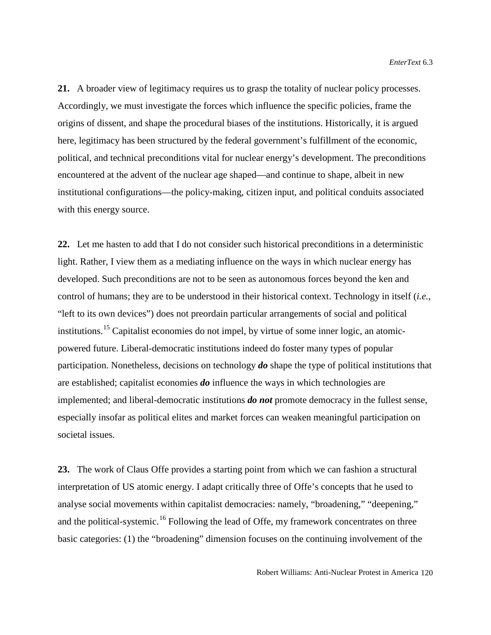**21.** A broader view of legitimacy requires us to grasp the totality of nuclear policy processes. Accordingly, we must investigate the forces which influence the specific policies, frame the origins of dissent, and shape the procedural biases of the institutions. Historically, it is argued here, legitimacy has been structured by the federal government's fulfillment of the economic, political, and technical preconditions vital for nuclear energy's development. The preconditions encountered at the advent of the nuclear age shaped—and continue to shape, albeit in new institutional configurations—the policy-making, citizen input, and political conduits associated with this energy source.

**22.** Let me hasten to add that I do not consider such historical preconditions in a deterministic light. Rather, I view them as a mediating influence on the ways in which nuclear energy has developed. Such preconditions are not to be seen as autonomous forces beyond the ken and control of humans; they are to be understood in their historical context. Technology in itself (*i.e.*, "left to its own devices") does not preordain particular arrangements of social and political institutions.[15](#page-32-2) Capitalist economies do not impel, by virtue of some inner logic, an atomicpowered future. Liberal-democratic institutions indeed do foster many types of popular participation. Nonetheless, decisions on technology *do* shape the type of political institutions that are established; capitalist economies *do* influence the ways in which technologies are implemented; and liberal-democratic institutions *do not* promote democracy in the fullest sense, especially insofar as political elites and market forces can weaken meaningful participation on societal issues.

**23.** The work of Claus Offe provides a starting point from which we can fashion a structural interpretation of US atomic energy. I adapt critically three of Offe's concepts that he used to analyse social movements within capitalist democracies: namely, "broadening," "deepening," and the political-systemic.<sup>[16](#page-32-3)</sup> Following the lead of Offe, my framework concentrates on three basic categories: (1) the "broadening" dimension focuses on the continuing involvement of the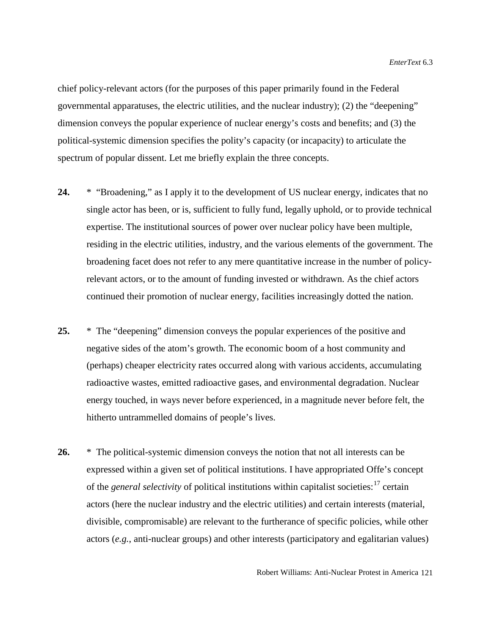chief policy-relevant actors (for the purposes of this paper primarily found in the Federal governmental apparatuses, the electric utilities, and the nuclear industry); (2) the "deepening" dimension conveys the popular experience of nuclear energy's costs and benefits; and (3) the political-systemic dimension specifies the polity's capacity (or incapacity) to articulate the spectrum of popular dissent. Let me briefly explain the three concepts.

- **24.** \* "Broadening," as I apply it to the development of US nuclear energy, indicates that no single actor has been, or is, sufficient to fully fund, legally uphold, or to provide technical expertise. The institutional sources of power over nuclear policy have been multiple, residing in the electric utilities, industry, and the various elements of the government. The broadening facet does not refer to any mere quantitative increase in the number of policyrelevant actors, or to the amount of funding invested or withdrawn. As the chief actors continued their promotion of nuclear energy, facilities increasingly dotted the nation.
- **25.** \* The "deepening" dimension conveys the popular experiences of the positive and negative sides of the atom's growth. The economic boom of a host community and (perhaps) cheaper electricity rates occurred along with various accidents, accumulating radioactive wastes, emitted radioactive gases, and environmental degradation. Nuclear energy touched, in ways never before experienced, in a magnitude never before felt, the hitherto untrammelled domains of people's lives.
- **26.** \* The political-systemic dimension conveys the notion that not all interests can be expressed within a given set of political institutions. I have appropriated Offe's concept of the *general selectivity* of political institutions within capitalist societies:<sup>[17](#page-33-0)</sup> certain actors (here the nuclear industry and the electric utilities) and certain interests (material, divisible, compromisable) are relevant to the furtherance of specific policies, while other actors (*e.g.*, anti-nuclear groups) and other interests (participatory and egalitarian values)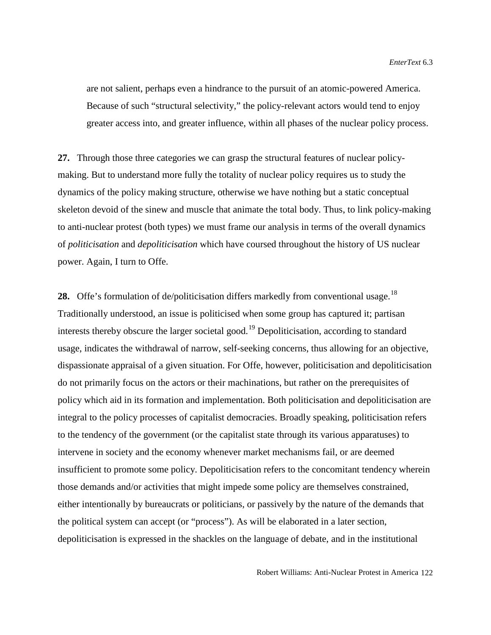are not salient, perhaps even a hindrance to the pursuit of an atomic-powered America. Because of such "structural selectivity," the policy-relevant actors would tend to enjoy greater access into, and greater influence, within all phases of the nuclear policy process.

**27.** Through those three categories we can grasp the structural features of nuclear policymaking. But to understand more fully the totality of nuclear policy requires us to study the dynamics of the policy making structure, otherwise we have nothing but a static conceptual skeleton devoid of the sinew and muscle that animate the total body. Thus, to link policy-making to anti-nuclear protest (both types) we must frame our analysis in terms of the overall dynamics of *politicisation* and *depoliticisation* which have coursed throughout the history of US nuclear power. Again, I turn to Offe.

**28.** Offe's formulation of de/politicisation differs markedly from conventional usage.<sup>[18](#page-33-1)</sup> Traditionally understood, an issue is politicised when some group has captured it; partisan interests thereby obscure the larger societal good.<sup>[19](#page-33-2)</sup> Depoliticisation, according to standard usage, indicates the withdrawal of narrow, self-seeking concerns, thus allowing for an objective, dispassionate appraisal of a given situation. For Offe, however, politicisation and depoliticisation do not primarily focus on the actors or their machinations, but rather on the prerequisites of policy which aid in its formation and implementation. Both politicisation and depoliticisation are integral to the policy processes of capitalist democracies. Broadly speaking, politicisation refers to the tendency of the government (or the capitalist state through its various apparatuses) to intervene in society and the economy whenever market mechanisms fail, or are deemed insufficient to promote some policy. Depoliticisation refers to the concomitant tendency wherein those demands and/or activities that might impede some policy are themselves constrained, either intentionally by bureaucrats or politicians, or passively by the nature of the demands that the political system can accept (or "process"). As will be elaborated in a later section, depoliticisation is expressed in the shackles on the language of debate, and in the institutional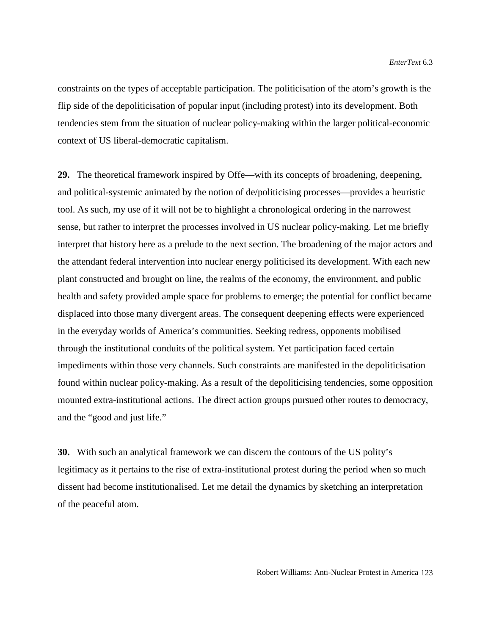constraints on the types of acceptable participation. The politicisation of the atom's growth is the flip side of the depoliticisation of popular input (including protest) into its development. Both tendencies stem from the situation of nuclear policy-making within the larger political-economic context of US liberal-democratic capitalism.

**29.** The theoretical framework inspired by Offe—with its concepts of broadening, deepening, and political-systemic animated by the notion of de/politicising processes—provides a heuristic tool. As such, my use of it will not be to highlight a chronological ordering in the narrowest sense, but rather to interpret the processes involved in US nuclear policy-making. Let me briefly interpret that history here as a prelude to the next section. The broadening of the major actors and the attendant federal intervention into nuclear energy politicised its development. With each new plant constructed and brought on line, the realms of the economy, the environment, and public health and safety provided ample space for problems to emerge; the potential for conflict became displaced into those many divergent areas. The consequent deepening effects were experienced in the everyday worlds of America's communities. Seeking redress, opponents mobilised through the institutional conduits of the political system. Yet participation faced certain impediments within those very channels. Such constraints are manifested in the depoliticisation found within nuclear policy-making. As a result of the depoliticising tendencies, some opposition mounted extra-institutional actions. The direct action groups pursued other routes to democracy, and the "good and just life."

**30.** With such an analytical framework we can discern the contours of the US polity's legitimacy as it pertains to the rise of extra-institutional protest during the period when so much dissent had become institutionalised. Let me detail the dynamics by sketching an interpretation of the peaceful atom.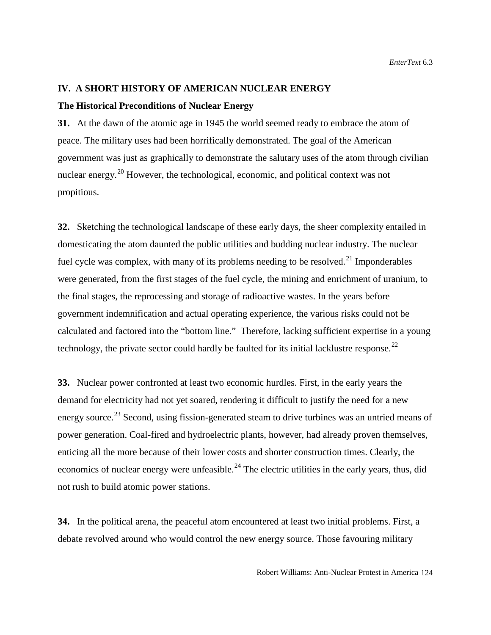## **IV. A SHORT HISTORY OF AMERICAN NUCLEAR ENERGY**

### **The Historical Preconditions of Nuclear Energy**

**31.** At the dawn of the atomic age in 1945 the world seemed ready to embrace the atom of peace. The military uses had been horrifically demonstrated. The goal of the American government was just as graphically to demonstrate the salutary uses of the atom through civilian nuclear energy.<sup>[20](#page-33-3)</sup> However, the technological, economic, and political context was not propitious.

**32.** Sketching the technological landscape of these early days, the sheer complexity entailed in domesticating the atom daunted the public utilities and budding nuclear industry. The nuclear fuel cycle was complex, with many of its problems needing to be resolved.<sup>[21](#page-33-4)</sup> Imponderables were generated, from the first stages of the fuel cycle, the mining and enrichment of uranium, to the final stages, the reprocessing and storage of radioactive wastes. In the years before government indemnification and actual operating experience, the various risks could not be calculated and factored into the "bottom line." Therefore, lacking sufficient expertise in a young technology, the private sector could hardly be faulted for its initial lacklustre response.<sup>22</sup>

**33.** Nuclear power confronted at least two economic hurdles. First, in the early years the demand for electricity had not yet soared, rendering it difficult to justify the need for a new energy source.<sup>[23](#page-33-6)</sup> Second, using fission-generated steam to drive turbines was an untried means of power generation. Coal-fired and hydroelectric plants, however, had already proven themselves, enticing all the more because of their lower costs and shorter construction times. Clearly, the economics of nuclear energy were unfeasible.<sup>[24](#page-33-7)</sup> The electric utilities in the early years, thus, did not rush to build atomic power stations.

**34.** In the political arena, the peaceful atom encountered at least two initial problems. First, a debate revolved around who would control the new energy source. Those favouring military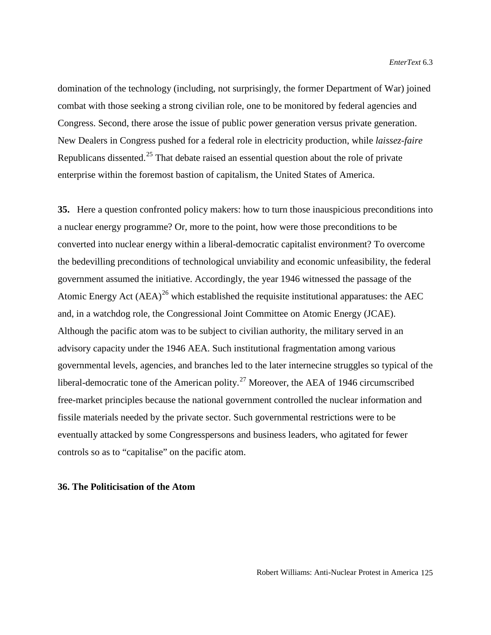domination of the technology (including, not surprisingly, the former Department of War) joined combat with those seeking a strong civilian role, one to be monitored by federal agencies and Congress. Second, there arose the issue of public power generation versus private generation. New Dealers in Congress pushed for a federal role in electricity production, while *laissez-faire* Republicans dissented.<sup>[25](#page-33-8)</sup> That debate raised an essential question about the role of private enterprise within the foremost bastion of capitalism, the United States of America.

**35.** Here a question confronted policy makers: how to turn those inauspicious preconditions into a nuclear energy programme? Or, more to the point, how were those preconditions to be converted into nuclear energy within a liberal-democratic capitalist environment? To overcome the bedevilling preconditions of technological unviability and economic unfeasibility, the federal government assumed the initiative. Accordingly, the year 1946 witnessed the passage of the Atomic Energy Act  $(AEA)^{26}$  $(AEA)^{26}$  $(AEA)^{26}$  which established the requisite institutional apparatuses: the AEC and, in a watchdog role, the Congressional Joint Committee on Atomic Energy (JCAE). Although the pacific atom was to be subject to civilian authority, the military served in an advisory capacity under the 1946 AEA. Such institutional fragmentation among various governmental levels, agencies, and branches led to the later internecine struggles so typical of the liberal-democratic tone of the American polity.<sup>[27](#page-33-10)</sup> Moreover, the AEA of 1946 circumscribed free-market principles because the national government controlled the nuclear information and fissile materials needed by the private sector. Such governmental restrictions were to be eventually attacked by some Congresspersons and business leaders, who agitated for fewer controls so as to "capitalise" on the pacific atom.

## **36. The Politicisation of the Atom**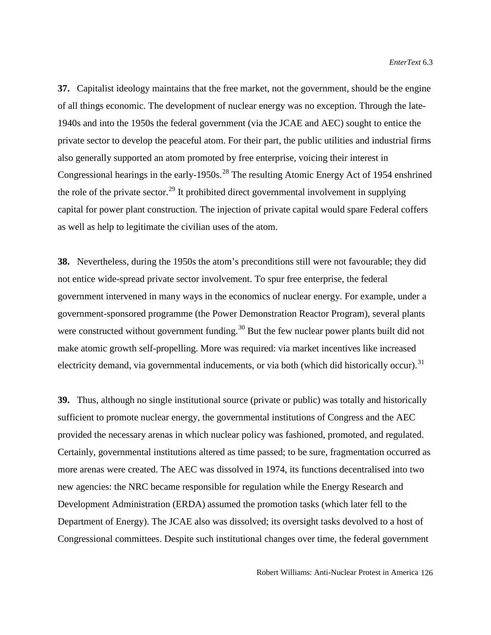**37.** Capitalist ideology maintains that the free market, not the government, should be the engine of all things economic. The development of nuclear energy was no exception. Through the late-1940s and into the 1950s the federal government (via the JCAE and AEC) sought to entice the private sector to develop the peaceful atom. For their part, the public utilities and industrial firms also generally supported an atom promoted by free enterprise, voicing their interest in Congressional hearings in the early-1950s.<sup>[28](#page-33-11)</sup> The resulting Atomic Energy Act of 1954 enshrined the role of the private sector.<sup>[29](#page-33-12)</sup> It prohibited direct governmental involvement in supplying capital for power plant construction. The injection of private capital would spare Federal coffers as well as help to legitimate the civilian uses of the atom.

**38.** Nevertheless, during the 1950s the atom's preconditions still were not favourable; they did not entice wide-spread private sector involvement. To spur free enterprise, the federal government intervened in many ways in the economics of nuclear energy. For example, under a government-sponsored programme (the Power Demonstration Reactor Program), several plants were constructed without government funding.<sup>[30](#page-33-13)</sup> But the few nuclear power plants built did not make atomic growth self-propelling. More was required: via market incentives like increased electricity demand, via governmental inducements, or via both (which did historically occur).<sup>[31](#page-33-14)</sup>

**39.** Thus, although no single institutional source (private or public) was totally and historically sufficient to promote nuclear energy, the governmental institutions of Congress and the AEC provided the necessary arenas in which nuclear policy was fashioned, promoted, and regulated. Certainly, governmental institutions altered as time passed; to be sure, fragmentation occurred as more arenas were created. The AEC was dissolved in 1974, its functions decentralised into two new agencies: the NRC became responsible for regulation while the Energy Research and Development Administration (ERDA) assumed the promotion tasks (which later fell to the Department of Energy). The JCAE also was dissolved; its oversight tasks devolved to a host of Congressional committees. Despite such institutional changes over time, the federal government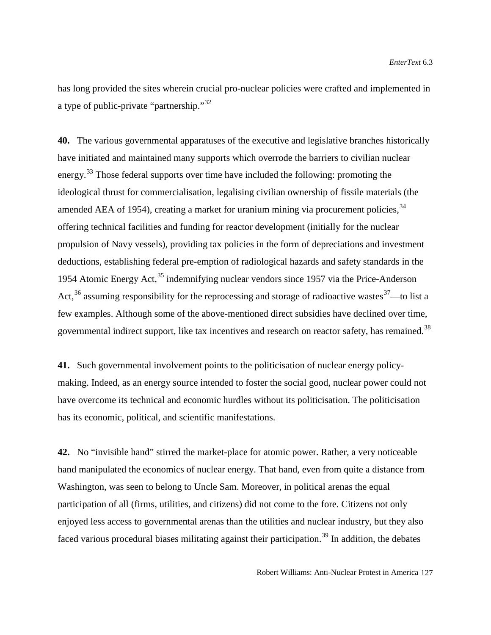has long provided the sites wherein crucial pro-nuclear policies were crafted and implemented in a type of public-private "partnership."[32](#page-33-15) 

**40.** The various governmental apparatuses of the executive and legislative branches historically have initiated and maintained many supports which overrode the barriers to civilian nuclear energy.[33](#page-33-16) Those federal supports over time have included the following: promoting the ideological thrust for commercialisation, legalising civilian ownership of fissile materials (the amended AEA of 1954), creating a market for uranium mining via procurement policies,  $34$ offering technical facilities and funding for reactor development (initially for the nuclear propulsion of Navy vessels), providing tax policies in the form of depreciations and investment deductions, establishing federal pre-emption of radiological hazards and safety standards in the 1954 Atomic Energy Act,  $35$  indemnifying nuclear vendors since 1957 via the Price-Anderson Act,<sup>[36](#page-33-19)</sup> assuming responsibility for the reprocessing and storage of radioactive wastes  $27$ —to list a few examples. Although some of the above-mentioned direct subsidies have declined over time, governmental indirect support, like tax incentives and research on reactor safety, has remained.<sup>[38](#page-33-20)</sup>

**41.** Such governmental involvement points to the politicisation of nuclear energy policymaking. Indeed, as an energy source intended to foster the social good, nuclear power could not have overcome its technical and economic hurdles without its politicisation. The politicisation has its economic, political, and scientific manifestations.

**42.** No "invisible hand" stirred the market-place for atomic power. Rather, a very noticeable hand manipulated the economics of nuclear energy. That hand, even from quite a distance from Washington, was seen to belong to Uncle Sam. Moreover, in political arenas the equal participation of all (firms, utilities, and citizens) did not come to the fore. Citizens not only enjoyed less access to governmental arenas than the utilities and nuclear industry, but they also faced various procedural biases militating against their participation.<sup>[39](#page-33-6)</sup> In addition, the debates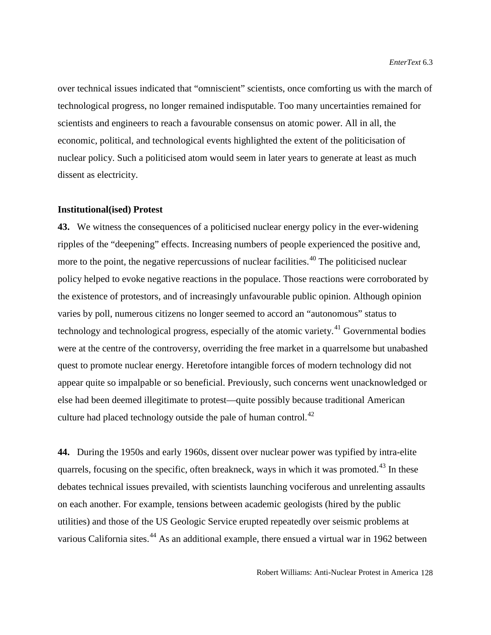over technical issues indicated that "omniscient" scientists, once comforting us with the march of technological progress, no longer remained indisputable. Too many uncertainties remained for scientists and engineers to reach a favourable consensus on atomic power. All in all, the economic, political, and technological events highlighted the extent of the politicisation of nuclear policy. Such a politicised atom would seem in later years to generate at least as much dissent as electricity.

#### **Institutional(ised) Protest**

**43.** We witness the consequences of a politicised nuclear energy policy in the ever-widening ripples of the "deepening" effects. Increasing numbers of people experienced the positive and, more to the point, the negative repercussions of nuclear facilities.<sup>[40](#page-33-21)</sup> The politicised nuclear policy helped to evoke negative reactions in the populace. Those reactions were corroborated by the existence of protestors, and of increasingly unfavourable public opinion. Although opinion varies by poll, numerous citizens no longer seemed to accord an "autonomous" status to technology and technological progress, especially of the atomic variety.<sup>[41](#page-33-22)</sup> Governmental bodies were at the centre of the controversy, overriding the free market in a quarrelsome but unabashed quest to promote nuclear energy. Heretofore intangible forces of modern technology did not appear quite so impalpable or so beneficial. Previously, such concerns went unacknowledged or else had been deemed illegitimate to protest—quite possibly because traditional American culture had placed technology outside the pale of human control. $^{42}$  $^{42}$  $^{42}$ 

**44.** During the 1950s and early 1960s, dissent over nuclear power was typified by intra-elite quarrels, focusing on the specific, often breakneck, ways in which it was promoted.<sup>[43](#page-33-24)</sup> In these debates technical issues prevailed, with scientists launching vociferous and unrelenting assaults on each another. For example, tensions between academic geologists (hired by the public utilities) and those of the US Geologic Service erupted repeatedly over seismic problems at various California sites.<sup>[44](#page-33-1)</sup> As an additional example, there ensued a virtual war in 1962 between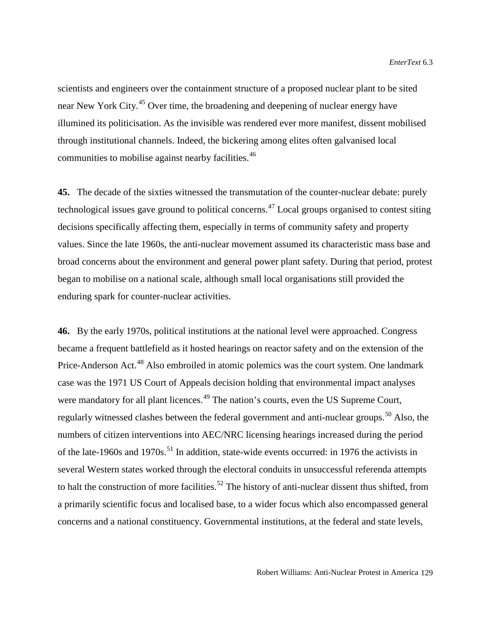scientists and engineers over the containment structure of a proposed nuclear plant to be sited near New York City.<sup>[45](#page-33-2)</sup> Over time, the broadening and deepening of nuclear energy have illumined its politicisation. As the invisible was rendered ever more manifest, dissent mobilised through institutional channels. Indeed, the bickering among elites often galvanised local communities to mobilise against nearby facilities.<sup>[46](#page-33-3)</sup>

**45.** The decade of the sixties witnessed the transmutation of the counter-nuclear debate: purely technological issues gave ground to political concerns.<sup>[47](#page-33-4)</sup> Local groups organised to contest siting decisions specifically affecting them, especially in terms of community safety and property values. Since the late 1960s, the anti-nuclear movement assumed its characteristic mass base and broad concerns about the environment and general power plant safety. During that period, protest began to mobilise on a national scale, although small local organisations still provided the enduring spark for counter-nuclear activities.

**46.** By the early 1970s, political institutions at the national level were approached. Congress became a frequent battlefield as it hosted hearings on reactor safety and on the extension of the Price-Anderson Act.<sup>[48](#page-33-25)</sup> Also embroiled in atomic polemics was the court system. One landmark case was the 1971 US Court of Appeals decision holding that environmental impact analyses were mandatory for all plant licences.<sup>[49](#page-33-5)</sup> The nation's courts, even the US Supreme Court, regularly witnessed clashes between the federal government and anti-nuclear groups.<sup>[50](#page-33-26)</sup> Also, the numbers of citizen interventions into AEC/NRC licensing hearings increased during the period of the late-1960s and 1970s.<sup>[51](#page-33-21)</sup> In addition, state-wide events occurred: in 1976 the activists in several Western states worked through the electoral conduits in unsuccessful referenda attempts to halt the construction of more facilities.<sup>[52](#page-33-9)</sup> The history of anti-nuclear dissent thus shifted, from a primarily scientific focus and localised base, to a wider focus which also encompassed general concerns and a national constituency. Governmental institutions, at the federal and state levels,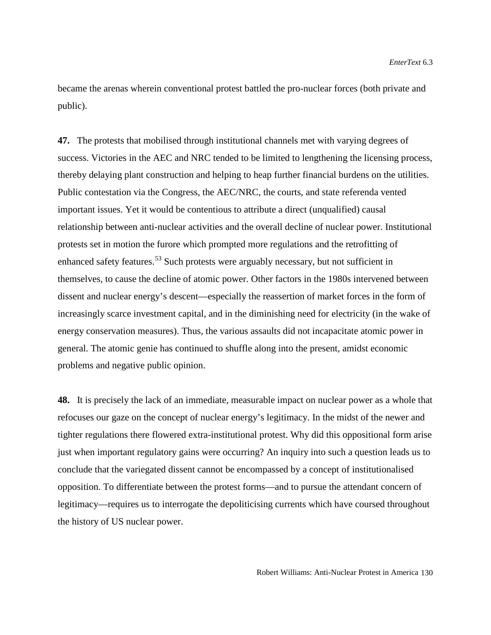became the arenas wherein conventional protest battled the pro-nuclear forces (both private and public).

**47.** The protests that mobilised through institutional channels met with varying degrees of success. Victories in the AEC and NRC tended to be limited to lengthening the licensing process, thereby delaying plant construction and helping to heap further financial burdens on the utilities. Public contestation via the Congress, the AEC/NRC, the courts, and state referenda vented important issues. Yet it would be contentious to attribute a direct (unqualified) causal relationship between anti-nuclear activities and the overall decline of nuclear power. Institutional protests set in motion the furore which prompted more regulations and the retrofitting of enhanced safety features.<sup>[53](#page-33-27)</sup> Such protests were arguably necessary, but not sufficient in themselves, to cause the decline of atomic power. Other factors in the 1980s intervened between dissent and nuclear energy's descent—especially the reassertion of market forces in the form of increasingly scarce investment capital, and in the diminishing need for electricity (in the wake of energy conservation measures). Thus, the various assaults did not incapacitate atomic power in general. The atomic genie has continued to shuffle along into the present, amidst economic problems and negative public opinion.

**48.** It is precisely the lack of an immediate, measurable impact on nuclear power as a whole that refocuses our gaze on the concept of nuclear energy's legitimacy. In the midst of the newer and tighter regulations there flowered extra-institutional protest. Why did this oppositional form arise just when important regulatory gains were occurring? An inquiry into such a question leads us to conclude that the variegated dissent cannot be encompassed by a concept of institutionalised opposition. To differentiate between the protest forms—and to pursue the attendant concern of legitimacy—requires us to interrogate the depoliticising currents which have coursed throughout the history of US nuclear power.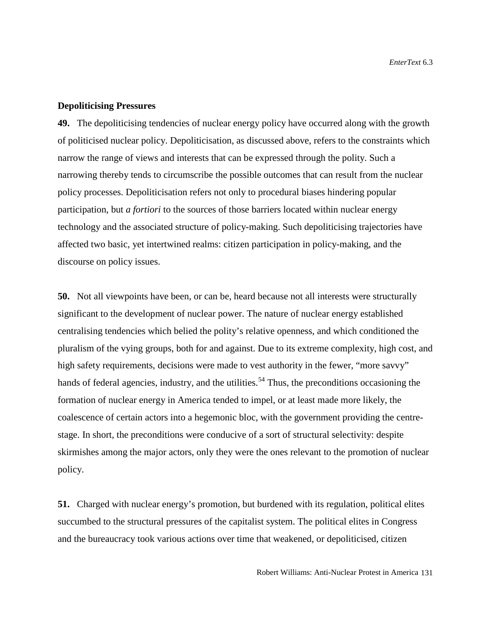## **Depoliticising Pressures**

**49.** The depoliticising tendencies of nuclear energy policy have occurred along with the growth of politicised nuclear policy. Depoliticisation, as discussed above, refers to the constraints which narrow the range of views and interests that can be expressed through the polity. Such a narrowing thereby tends to circumscribe the possible outcomes that can result from the nuclear policy processes. Depoliticisation refers not only to procedural biases hindering popular participation, but *a fortiori* to the sources of those barriers located within nuclear energy technology and the associated structure of policy-making. Such depoliticising trajectories have affected two basic, yet intertwined realms: citizen participation in policy-making, and the discourse on policy issues.

**50.** Not all viewpoints have been, or can be, heard because not all interests were structurally significant to the development of nuclear power. The nature of nuclear energy established centralising tendencies which belied the polity's relative openness, and which conditioned the pluralism of the vying groups, both for and against. Due to its extreme complexity, high cost, and high safety requirements, decisions were made to vest authority in the fewer, "more savvy" hands of federal agencies, industry, and the utilities.<sup>[54](#page-33-13)</sup> Thus, the preconditions occasioning the formation of nuclear energy in America tended to impel, or at least made more likely, the coalescence of certain actors into a hegemonic bloc, with the government providing the centrestage. In short, the preconditions were conducive of a sort of structural selectivity: despite skirmishes among the major actors, only they were the ones relevant to the promotion of nuclear policy.

**51.** Charged with nuclear energy's promotion, but burdened with its regulation, political elites succumbed to the structural pressures of the capitalist system. The political elites in Congress and the bureaucracy took various actions over time that weakened, or depoliticised, citizen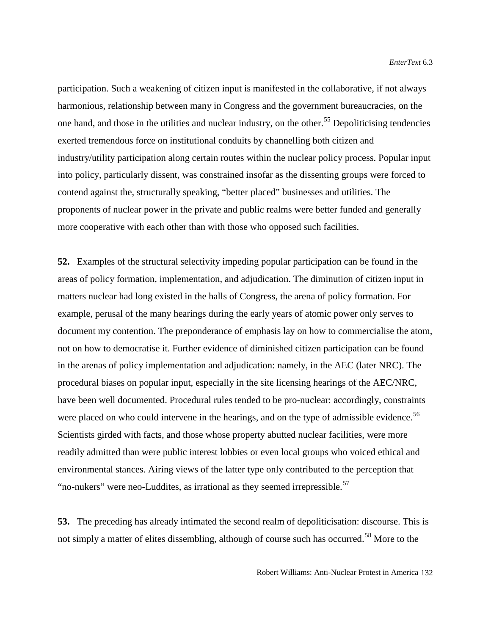participation. Such a weakening of citizen input is manifested in the collaborative, if not always harmonious, relationship between many in Congress and the government bureaucracies, on the one hand, and those in the utilities and nuclear industry, on the other.<sup>[55](#page-33-14)</sup> Depoliticising tendencies exerted tremendous force on institutional conduits by channelling both citizen and industry/utility participation along certain routes within the nuclear policy process. Popular input into policy, particularly dissent, was constrained insofar as the dissenting groups were forced to contend against the, structurally speaking, "better placed" businesses and utilities. The proponents of nuclear power in the private and public realms were better funded and generally more cooperative with each other than with those who opposed such facilities.

**52.** Examples of the structural selectivity impeding popular participation can be found in the areas of policy formation, implementation, and adjudication. The diminution of citizen input in matters nuclear had long existed in the halls of Congress, the arena of policy formation. For example, perusal of the many hearings during the early years of atomic power only serves to document my contention. The preponderance of emphasis lay on how to commercialise the atom, not on how to democratise it. Further evidence of diminished citizen participation can be found in the arenas of policy implementation and adjudication: namely, in the AEC (later NRC). The procedural biases on popular input, especially in the site licensing hearings of the AEC/NRC, have been well documented. Procedural rules tended to be pro-nuclear: accordingly, constraints were placed on who could intervene in the hearings, and on the type of admissible evidence.<sup>[56](#page-33-16)</sup> Scientists girded with facts, and those whose property abutted nuclear facilities, were more readily admitted than were public interest lobbies or even local groups who voiced ethical and environmental stances. Airing views of the latter type only contributed to the perception that "no-nukers" were neo-Luddites, as irrational as they seemed irrepressible.<sup>57</sup>

**53.** The preceding has already intimated the second realm of depoliticisation: discourse. This is not simply a matter of elites dissembling, although of course such has occurred.<sup>[58](#page-33-29)</sup> More to the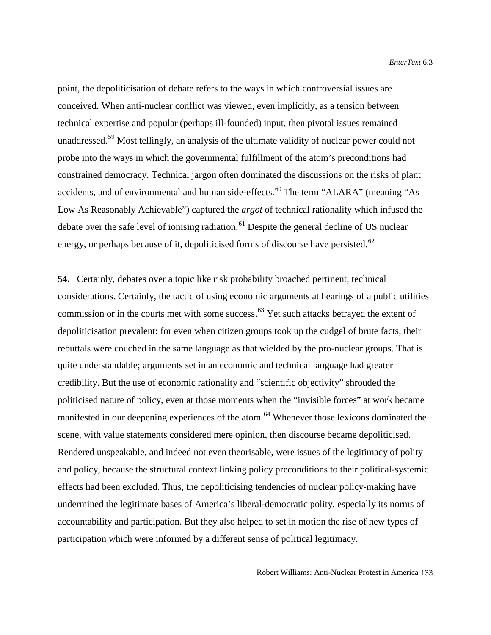point, the depoliticisation of debate refers to the ways in which controversial issues are conceived. When anti-nuclear conflict was viewed, even implicitly, as a tension between technical expertise and popular (perhaps ill-founded) input, then pivotal issues remained unaddressed.<sup>[59](#page-33-23)</sup> Most tellingly, an analysis of the ultimate validity of nuclear power could not probe into the ways in which the governmental fulfillment of the atom's preconditions had constrained democracy. Technical jargon often dominated the discussions on the risks of plant accidents, and of environmental and human side-effects.<sup>[60](#page-33-24)</sup> The term "ALARA" (meaning "As Low As Reasonably Achievable") captured the *argot* of technical rationality which infused the debate over the safe level of ionising radiation.<sup>[61](#page-33-30)</sup> Despite the general decline of US nuclear energy, or perhaps because of it, depoliticised forms of discourse have persisted.<sup>[62](#page-33-31)</sup>

**54.** Certainly, debates over a topic like risk probability broached pertinent, technical considerations. Certainly, the tactic of using economic arguments at hearings of a public utilities commission or in the courts met with some success.<sup>[63](#page-33-5)</sup> Yet such attacks betrayed the extent of depoliticisation prevalent: for even when citizen groups took up the cudgel of brute facts, their rebuttals were couched in the same language as that wielded by the pro-nuclear groups. That is quite understandable; arguments set in an economic and technical language had greater credibility. But the use of economic rationality and "scientific objectivity" shrouded the politicised nature of policy, even at those moments when the "invisible forces" at work became manifested in our deepening experiences of the atom.<sup>[64](#page-33-26)</sup> Whenever those lexicons dominated the scene, with value statements considered mere opinion, then discourse became depoliticised. Rendered unspeakable, and indeed not even theorisable, were issues of the legitimacy of polity and policy, because the structural context linking policy preconditions to their political-systemic effects had been excluded. Thus, the depoliticising tendencies of nuclear policy-making have undermined the legitimate bases of America's liberal-democratic polity, especially its norms of accountability and participation. But they also helped to set in motion the rise of new types of participation which were informed by a different sense of political legitimacy.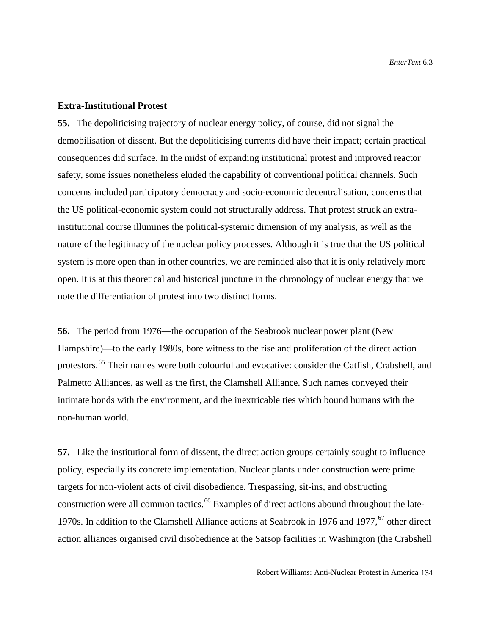## **Extra-Institutional Protest**

**55.** The depoliticising trajectory of nuclear energy policy, of course, did not signal the demobilisation of dissent. But the depoliticising currents did have their impact; certain practical consequences did surface. In the midst of expanding institutional protest and improved reactor safety, some issues nonetheless eluded the capability of conventional political channels. Such concerns included participatory democracy and socio-economic decentralisation, concerns that the US political-economic system could not structurally address. That protest struck an extrainstitutional course illumines the political-systemic dimension of my analysis, as well as the nature of the legitimacy of the nuclear policy processes. Although it is true that the US political system is more open than in other countries, we are reminded also that it is only relatively more open. It is at this theoretical and historical juncture in the chronology of nuclear energy that we note the differentiation of protest into two distinct forms.

**56.** The period from 1976—the occupation of the Seabrook nuclear power plant (New Hampshire)—to the early 1980s, bore witness to the rise and proliferation of the direct action protestors.[65](#page-33-9) Their names were both colourful and evocative: consider the Catfish, Crabshell, and Palmetto Alliances, as well as the first, the Clamshell Alliance. Such names conveyed their intimate bonds with the environment, and the inextricable ties which bound humans with the non-human world.

**57.** Like the institutional form of dissent, the direct action groups certainly sought to influence policy, especially its concrete implementation. Nuclear plants under construction were prime targets for non-violent acts of civil disobedience. Trespassing, sit-ins, and obstructing construction were all common tactics.<sup>[66](#page-33-10)</sup> Examples of direct actions abound throughout the late-1970s. In addition to the Clamshell Alliance actions at Seabrook in 1976 and 1977,<sup>[67](#page-33-27)</sup> other direct action alliances organised civil disobedience at the Satsop facilities in Washington (the Crabshell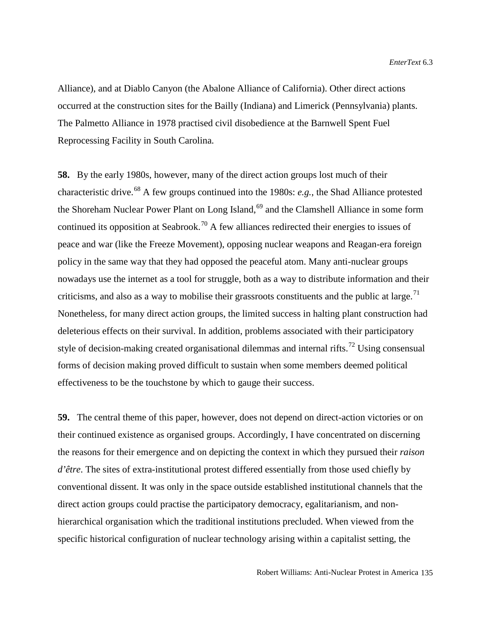Alliance), and at Diablo Canyon (the Abalone Alliance of California). Other direct actions occurred at the construction sites for the Bailly (Indiana) and Limerick (Pennsylvania) plants. The Palmetto Alliance in 1978 practised civil disobedience at the Barnwell Spent Fuel Reprocessing Facility in South Carolina.

**58.** By the early 1980s, however, many of the direct action groups lost much of their characteristic drive.[68](#page-33-12) A few groups continued into the 1980s: *e.g.*, the Shad Alliance protested the Shoreham Nuclear Power Plant on Long Island,<sup>[69](#page-33-32)</sup> and the Clamshell Alliance in some form continued its opposition at Seabrook.<sup>[70](#page-33-14)</sup> A few alliances redirected their energies to issues of peace and war (like the Freeze Movement), opposing nuclear weapons and Reagan-era foreign policy in the same way that they had opposed the peaceful atom. Many anti-nuclear groups nowadays use the internet as a tool for struggle, both as a way to distribute information and their criticisms, and also as a way to mobilise their grassroots constituents and the public at large.<sup>71</sup> Nonetheless, for many direct action groups, the limited success in halting plant construction had deleterious effects on their survival. In addition, problems associated with their participatory style of decision-making created organisational dilemmas and internal rifts.<sup>[72](#page-33-33)</sup> Using consensual forms of decision making proved difficult to sustain when some members deemed political effectiveness to be the touchstone by which to gauge their success.

**59.** The central theme of this paper, however, does not depend on direct-action victories or on their continued existence as organised groups. Accordingly, I have concentrated on discerning the reasons for their emergence and on depicting the context in which they pursued their *raison d'être*. The sites of extra-institutional protest differed essentially from those used chiefly by conventional dissent. It was only in the space outside established institutional channels that the direct action groups could practise the participatory democracy, egalitarianism, and nonhierarchical organisation which the traditional institutions precluded. When viewed from the specific historical configuration of nuclear technology arising within a capitalist setting, the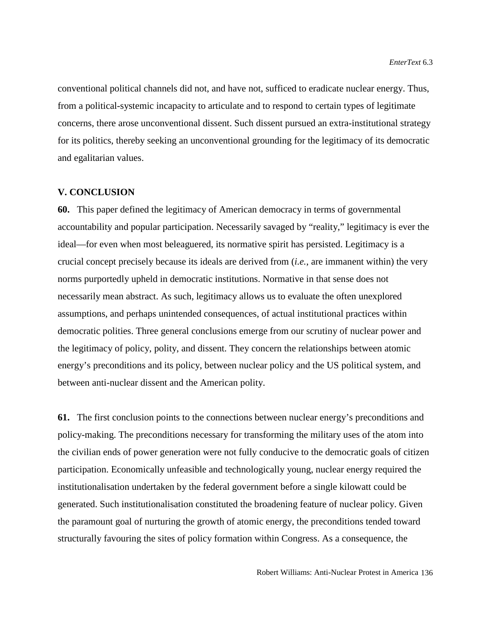conventional political channels did not, and have not, sufficed to eradicate nuclear energy. Thus, from a political-systemic incapacity to articulate and to respond to certain types of legitimate concerns, there arose unconventional dissent. Such dissent pursued an extra-institutional strategy for its politics, thereby seeking an unconventional grounding for the legitimacy of its democratic and egalitarian values.

### **V. CONCLUSION**

**60.** This paper defined the legitimacy of American democracy in terms of governmental accountability and popular participation. Necessarily savaged by "reality," legitimacy is ever the ideal—for even when most beleaguered, its normative spirit has persisted. Legitimacy is a crucial concept precisely because its ideals are derived from (*i.e.*, are immanent within) the very norms purportedly upheld in democratic institutions. Normative in that sense does not necessarily mean abstract. As such, legitimacy allows us to evaluate the often unexplored assumptions, and perhaps unintended consequences, of actual institutional practices within democratic polities. Three general conclusions emerge from our scrutiny of nuclear power and the legitimacy of policy, polity, and dissent. They concern the relationships between atomic energy's preconditions and its policy, between nuclear policy and the US political system, and between anti-nuclear dissent and the American polity.

**61.** The first conclusion points to the connections between nuclear energy's preconditions and policy-making. The preconditions necessary for transforming the military uses of the atom into the civilian ends of power generation were not fully conducive to the democratic goals of citizen participation. Economically unfeasible and technologically young, nuclear energy required the institutionalisation undertaken by the federal government before a single kilowatt could be generated. Such institutionalisation constituted the broadening feature of nuclear policy. Given the paramount goal of nurturing the growth of atomic energy, the preconditions tended toward structurally favouring the sites of policy formation within Congress. As a consequence, the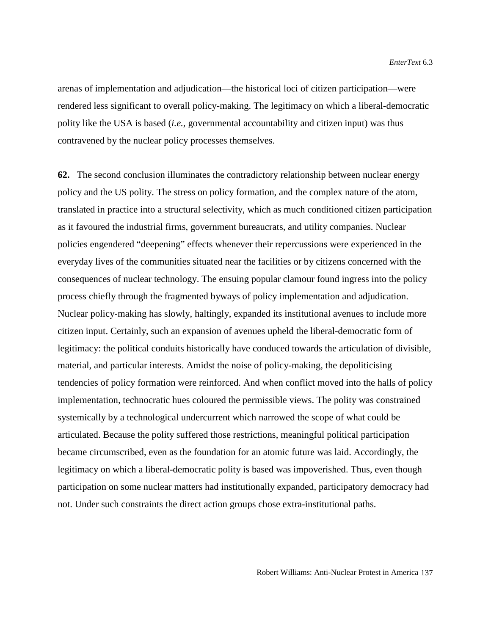arenas of implementation and adjudication—the historical loci of citizen participation—were rendered less significant to overall policy-making. The legitimacy on which a liberal-democratic polity like the USA is based (*i.e.*, governmental accountability and citizen input) was thus contravened by the nuclear policy processes themselves.

**62.** The second conclusion illuminates the contradictory relationship between nuclear energy policy and the US polity. The stress on policy formation, and the complex nature of the atom, translated in practice into a structural selectivity, which as much conditioned citizen participation as it favoured the industrial firms, government bureaucrats, and utility companies. Nuclear policies engendered "deepening" effects whenever their repercussions were experienced in the everyday lives of the communities situated near the facilities or by citizens concerned with the consequences of nuclear technology. The ensuing popular clamour found ingress into the policy process chiefly through the fragmented byways of policy implementation and adjudication. Nuclear policy-making has slowly, haltingly, expanded its institutional avenues to include more citizen input. Certainly, such an expansion of avenues upheld the liberal-democratic form of legitimacy: the political conduits historically have conduced towards the articulation of divisible, material, and particular interests. Amidst the noise of policy-making, the depoliticising tendencies of policy formation were reinforced. And when conflict moved into the halls of policy implementation, technocratic hues coloured the permissible views. The polity was constrained systemically by a technological undercurrent which narrowed the scope of what could be articulated. Because the polity suffered those restrictions, meaningful political participation became circumscribed, even as the foundation for an atomic future was laid. Accordingly, the legitimacy on which a liberal-democratic polity is based was impoverished. Thus, even though participation on some nuclear matters had institutionally expanded, participatory democracy had not. Under such constraints the direct action groups chose extra-institutional paths.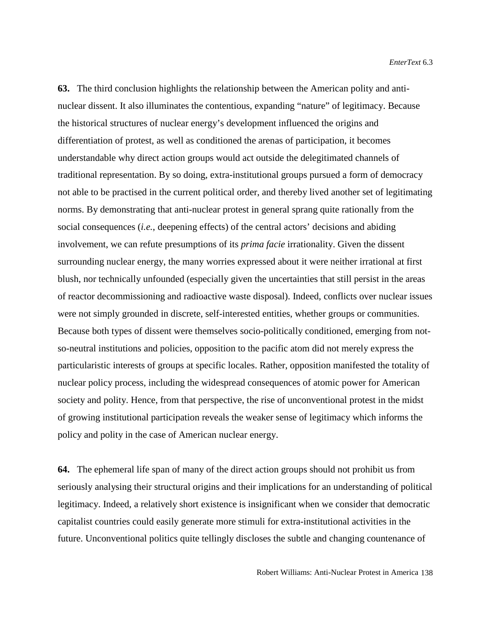**63.** The third conclusion highlights the relationship between the American polity and antinuclear dissent. It also illuminates the contentious, expanding "nature" of legitimacy. Because the historical structures of nuclear energy's development influenced the origins and differentiation of protest, as well as conditioned the arenas of participation, it becomes understandable why direct action groups would act outside the delegitimated channels of traditional representation. By so doing, extra-institutional groups pursued a form of democracy not able to be practised in the current political order, and thereby lived another set of legitimating norms. By demonstrating that anti-nuclear protest in general sprang quite rationally from the social consequences (*i.e.*, deepening effects) of the central actors' decisions and abiding involvement, we can refute presumptions of its *prima facie* irrationality. Given the dissent surrounding nuclear energy, the many worries expressed about it were neither irrational at first blush, nor technically unfounded (especially given the uncertainties that still persist in the areas of reactor decommissioning and radioactive waste disposal). Indeed, conflicts over nuclear issues were not simply grounded in discrete, self-interested entities, whether groups or communities. Because both types of dissent were themselves socio-politically conditioned, emerging from notso-neutral institutions and policies, opposition to the pacific atom did not merely express the particularistic interests of groups at specific locales. Rather, opposition manifested the totality of nuclear policy process, including the widespread consequences of atomic power for American society and polity. Hence, from that perspective, the rise of unconventional protest in the midst of growing institutional participation reveals the weaker sense of legitimacy which informs the policy and polity in the case of American nuclear energy.

<span id="page-27-0"></span>**64.** The ephemeral life span of many of the direct action groups should not prohibit us from seriously analysing their structural origins and their implications for an understanding of political legitimacy. Indeed, a relatively short existence is insignificant when we consider that democratic capitalist countries could easily generate more stimuli for extra-institutional activities in the future. Unconventional politics quite tellingly discloses the subtle and changing countenance of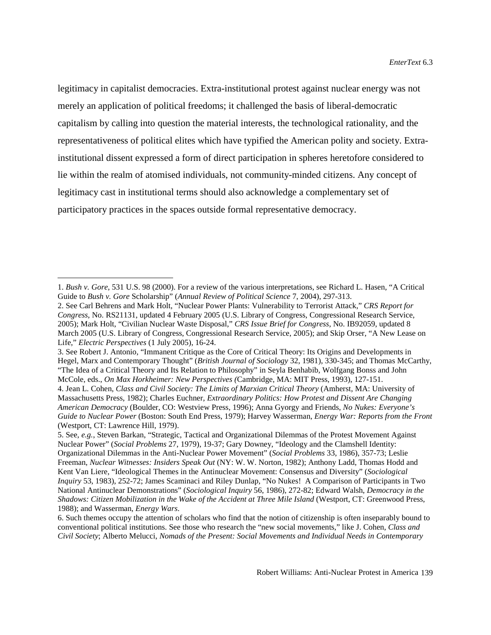legitimacy in capitalist democracies. Extra-institutional protest against nuclear energy was not merely an application of political freedoms; it challenged the basis of liberal-democratic capitalism by calling into question the material interests, the technological rationality, and the representativeness of political elites which have typified the American polity and society. Extrainstitutional dissent expressed a form of direct participation in spheres heretofore considered to lie within the realm of atomised individuals, not community-minded citizens. Any concept of legitimacy cast in institutional terms should also acknowledge a complementary set of participatory practices in the spaces outside formal representative democracy.

 $\overline{a}$ 

<sup>1.</sup> *Bush v. Gore*, 531 U.S. 98 (2000). For a review of the various interpretations, see Richard L. Hasen, "A Critical Guide to *Bush v. Gore* Scholarship" (*Annual Review of Political Science* 7, 2004), 297-313.

<span id="page-28-0"></span><sup>2.</sup> See Carl Behrens and Mark Holt, "Nuclear Power Plants: Vulnerability to Terrorist Attack," *CRS Report for Congress*, No. RS21131, updated 4 February 2005 (U.S. Library of Congress, Congressional Research Service, 2005); Mark Holt, "Civilian Nuclear Waste Disposal," *CRS Issue Brief for Congress*, No. IB92059, updated 8 March 2005 (U.S. Library of Congress, Congressional Research Service, 2005); and Skip Orser, "A New Lease on Life," *Electric Perspectives* (1 July 2005), 16-24.

<span id="page-28-1"></span><sup>3.</sup> See Robert J. Antonio, "Immanent Critique as the Core of Critical Theory: Its Origins and Developments in Hegel, Marx and Contemporary Thought" (*British Journal of Sociology* 32, 1981), 330-345; and Thomas McCarthy, "The Idea of a Critical Theory and Its Relation to Philosophy" in Seyla Benhabib, Wolfgang Bonss and John McCole, eds., *On Max Horkheimer: New Perspectives (*Cambridge, MA: MIT Press, 1993), 127-151.

<sup>4.</sup> Jean L. Cohen, *Class and Civil Society: The Limits of Marxian Critical Theory* (Amherst, MA: University of Massachusetts Press, 1982); Charles Euchner, *Extraordinary Politics: How Protest and Dissent Are Changing American Democracy* (Boulder, CO: Westview Press, 1996); Anna Gyorgy and Friends, *No Nukes: Everyone's Guide to Nuclear Power* (Boston: South End Press, 1979); Harvey Wasserman, *Energy War: Reports from the Front* (Westport, CT: Lawrence Hill, 1979).

<sup>5.</sup> See, *e.g.*, Steven Barkan, "Strategic, Tactical and Organizational Dilemmas of the Protest Movement Against Nuclear Power" (*Social Problems* 27, 1979), 19-37; Gary Downey, "Ideology and the Clamshell Identity: Organizational Dilemmas in the Anti-Nuclear Power Movement" (*Social Problems* 33, 1986), 357-73; Leslie Freeman, *Nuclear Witnesses: Insiders Speak Out* (NY: W. W. Norton, 1982); Anthony Ladd, Thomas Hodd and Kent Van Liere, "Ideological Themes in the Antinuclear Movement: Consensus and Diversity" (*Sociological Inquiry* 53, 1983), 252-72; James Scaminaci and Riley Dunlap, "No Nukes! A Comparison of Participants in Two National Antinuclear Demonstrations" (*Sociological Inquiry* 56, 1986), 272-82; Edward Walsh, *Democracy in the Shadows: Citizen Mobilization in the Wake of the Accident at Three Mile Island* (Westport, CT: Greenwood Press, 1988); and Wasserman, *Energy Wars*.

<sup>6.</sup> Such themes occupy the attention of scholars who find that the notion of citizenship is often inseparably bound to conventional political institutions. See those who research the "new social movements," like J. Cohen, *Class and Civil Society*; Alberto Melucci, *Nomads of the Present: Social Movements and Individual Needs in Contemporary*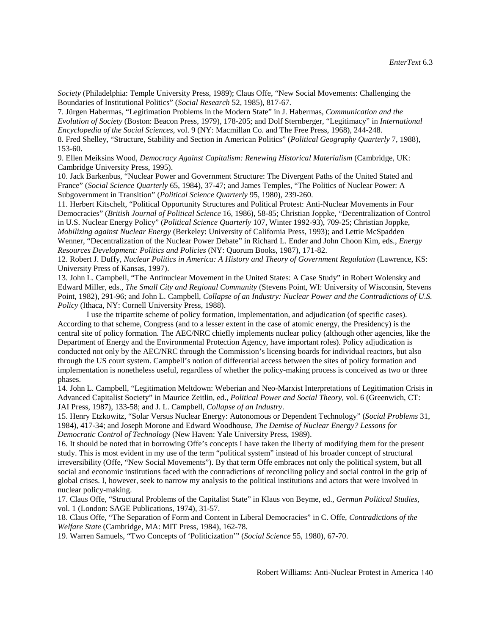*Society* (Philadelphia: Temple University Press, 1989); Claus Offe, "New Social Movements: Challenging the Boundaries of Institutional Politics" (*Social Research* 52, 1985), 817-67.

 $\overline{a}$ 

7. Jürgen Habermas, "Legitimation Problems in the Modern State" in J. Habermas, *Communication and the Evolution of Society* (Boston: Beacon Press, 1979), 178-205; and Dolf Sternberger, "Legitimacy" in *International Encyclopedia of the Social Sciences,* vol. 9 (NY: Macmillan Co. and The Free Press, 1968), 244-248. 8. Fred Shelley, "Structure, Stability and Section in American Politics" (*Political Geography Quarterly* 7, 1988), 153-60.

9. Ellen Meiksins Wood, *Democracy Against Capitalism: Renewing Historical Materialism* (Cambridge, UK: Cambridge University Press, 1995).

10. Jack Barkenbus, "Nuclear Power and Government Structure: The Divergent Paths of the United Stated and France" (*Social Science Quarterly* 65, 1984), 37-47; and James Temples, "The Politics of Nuclear Power: A Subgovernment in Transition" (*Political Science Quarterly* 95, 1980), 239-260.

11. Herbert Kitschelt, "Political Opportunity Structures and Political Protest: Anti-Nuclear Movements in Four Democracies" (*British Journal of Political Science* 16, 1986), 58-85; Christian Joppke, "Decentralization of Control in U.S. Nuclear Energy Policy" (*Political Science Quarterly* 107, Winter 1992-93), 709-25; Christian Joppke, *Mobilizing against Nuclear Energy* (Berkeley: University of California Press, 1993); and Lettie McSpadden Wenner, "Decentralization of the Nuclear Power Debate" in Richard L. Ender and John Choon Kim, eds., *Energy Resources Development: Politics and Policies* (NY: Quorum Books, 1987), 171-82.

12. Robert J. Duffy, *Nuclear Politics in America: A History and Theory of Government Regulation* (Lawrence, KS: University Press of Kansas, 1997).

13. John L. Campbell, "The Antinuclear Movement in the United States: A Case Study" in Robert Wolensky and Edward Miller, eds., *The Small City and Regional Community* (Stevens Point, WI: University of Wisconsin, Stevens Point, 1982), 291-96; and John L. Campbell, *Collapse of an Industry: Nuclear Power and the Contradictions of U.S. Policy* (Ithaca, NY: Cornell University Press, 1988).

I use the tripartite scheme of policy formation, implementation, and adjudication (of specific cases). According to that scheme, Congress (and to a lesser extent in the case of atomic energy, the Presidency) is the central site of policy formation. The AEC/NRC chiefly implements nuclear policy (although other agencies, like the Department of Energy and the Environmental Protection Agency, have important roles). Policy adjudication is conducted not only by the AEC/NRC through the Commission's licensing boards for individual reactors, but also through the US court system. Campbell's notion of differential access between the sites of policy formation and implementation is nonetheless useful, regardless of whether the policy-making process is conceived as two or three phases.

<span id="page-29-0"></span>14. John L. Campbell, "Legitimation Meltdown: Weberian and Neo-Marxist Interpretations of Legitimation Crisis in Advanced Capitalist Society" in Maurice Zeitlin, ed., *Political Power and Social Theory,* vol. 6 (Greenwich, CT: JAI Press, 1987), 133-58; and J. L. Campbell, *Collapse of an Industry*.

15. Henry Etzkowitz, "Solar Versus Nuclear Energy: Autonomous or Dependent Technology" (*Social Problems* 31, 1984), 417-34; and Joseph Morone and Edward Woodhouse, *The Demise of Nuclear Energy? Lessons for Democratic Control of Technology* (New Haven: Yale University Press, 1989).

<span id="page-29-1"></span>16. It should be noted that in borrowing Offe's concepts I have taken the liberty of modifying them for the present study. This is most evident in my use of the term "political system" instead of his broader concept of structural irreversibility (Offe, "New Social Movements"). By that term Offe embraces not only the political system, but all social and economic institutions faced with the contradictions of reconciling policy and social control in the grip of global crises. I, however, seek to narrow my analysis to the political institutions and actors that were involved in nuclear policy-making.

17. Claus Offe, "Structural Problems of the Capitalist State" in Klaus von Beyme, ed., *German Political Studies*, vol. 1 (London: SAGE Publications, 1974), 31-57.

<span id="page-29-2"></span>18. Claus Offe, "The Separation of Form and Content in Liberal Democracies" in C. Offe, *Contradictions of the Welfare State* (Cambridge, MA: MIT Press, 1984), 162-78.

19. Warren Samuels, "Two Concepts of 'Politicization'" (*Social Science* 55, 1980), 67-70.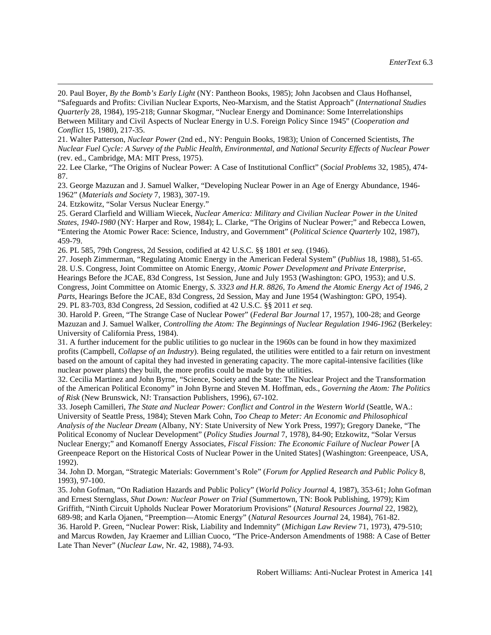21. Walter Patterson, *Nuclear Power* (2nd ed., NY: Penguin Books, 1983); Union of Concerned Scientists, *The Nuclear Fuel Cycle: A Survey of the Public Health, Environmental, and National Security Effects of Nuclear Power* (rev. ed., Cambridge, MA: MIT Press, 1975).

22. Lee Clarke, "The Origins of Nuclear Power: A Case of Institutional Conflict" (*Social Problems* 32, 1985), 474- 87.

23. George Mazuzan and J. Samuel Walker, "Developing Nuclear Power in an Age of Energy Abundance, 1946- 1962" (*Materials and Society* 7, 1983), 307-19.

24. Etzkowitz, "Solar Versus Nuclear Energy."

 $\overline{a}$ 

25. Gerard Clarfield and William Wiecek, *Nuclear America: Military and Civilian Nuclear Power in the United States, 1940-1980* (NY: Harper and Row, 1984); L. Clarke, "The Origins of Nuclear Power;" and Rebecca Lowen, "Entering the Atomic Power Race: Science, Industry, and Government" (*Political Science Quarterly* 102, 1987), 459-79.

26. PL 585, 79th Congress, 2d Session, codified at 42 U.S.C. §§ 1801 *et seq.* (1946).

27. Joseph Zimmerman, "Regulating Atomic Energy in the American Federal System" (*Publius* 18, 1988), 51-65. 28. U.S. Congress, Joint Committee on Atomic Energy, *Atomic Power Development and Private Enterprise*, Hearings Before the JCAE, 83d Congress, 1st Session, June and July 1953 (Washington: GPO, 1953); and U.S. Congress, Joint Committee on Atomic Energy, *S. 3323 and H.R. 8826, To Amend the Atomic Energy Act of 1946, 2 Parts*, Hearings Before the JCAE, 83d Congress, 2d Session, May and June 1954 (Washington: GPO, 1954). 29. PL 83-703, 83d Congress, 2d Session, codified at 42 U.S.C. §§ 2011 *et seq.*

30. Harold P. Green, "The Strange Case of Nuclear Power" (*Federal Bar Journal* 17, 1957), 100-28; and George Mazuzan and J. Samuel Walker, *Controlling the Atom: The Beginnings of Nuclear Regulation 1946-1962* (Berkeley: University of California Press, 1984).

31. A further inducement for the public utilities to go nuclear in the 1960s can be found in how they maximized profits (Campbell, *Collapse of an Industry*). Being regulated, the utilities were entitled to a fair return on investment based on the amount of capital they had invested in generating capacity. The more capital-intensive facilities (like nuclear power plants) they built, the more profits could be made by the utilities.

32. Cecilia Martinez and John Byrne, "Science, Society and the State: The Nuclear Project and the Transformation of the American Political Economy" in John Byrne and Steven M. Hoffman, eds., *Governing the Atom: The Politics of Risk* (New Brunswick, NJ: Transaction Publishers, 1996), 67-102.

33. Joseph Camilleri, *The State and Nuclear Power: Conflict and Control in the Western World* (Seattle, WA.: University of Seattle Press, 1984); Steven Mark Cohn, *Too Cheap to Meter: An Economic and Philosophical Analysis of the Nuclear Dream* (Albany, NY: State University of New York Press, 1997); Gregory Daneke, "The Political Economy of Nuclear Development" (*Policy Studies Journal* 7, 1978), 84-90; Etzkowitz, "Solar Versus Nuclear Energy;" and Komanoff Energy Associates, *Fiscal Fission: The Economic Failure of Nuclear Power* [A Greenpeace Report on the Historical Costs of Nuclear Power in the United States] (Washington: Greenpeace, USA, 1992).

34. John D. Morgan, "Strategic Materials: Government's Role" (*Forum for Applied Research and Public Policy* 8, 1993), 97-100.

35. John Gofman, "On Radiation Hazards and Public Policy" (*World Policy Journal* 4, 1987), 353-61; John Gofman and Ernest Sternglass, *Shut Down: Nuclear Power on Trial* (Summertown, TN: Book Publishing, 1979); Kim Griffith, "Ninth Circuit Upholds Nuclear Power Moratorium Provisions" (*Natural Resources Journal* 22, 1982),

689-98; and Karla Ojanen, "Preemption—Atomic Energy" (*Natural Resources Journal* 24, 1984), 761-82. 36. Harold P. Green, "Nuclear Power: Risk, Liability and Indemnity" (*Michigan Law Review* 71, 1973), 479-510; and Marcus Rowden, Jay Kraemer and Lillian Cuoco, "The Price-Anderson Amendments of 1988: A Case of Better Late Than Never" (*Nuclear Law*, Nr. 42, 1988), 74-93.

<span id="page-30-0"></span><sup>20.</sup> Paul Boyer, *By the Bomb's Early Light* (NY: Pantheon Books, 1985); John Jacobsen and Claus Hofhansel, "Safeguards and Profits: Civilian Nuclear Exports, Neo-Marxism, and the Statist Approach" (*International Studies Quarterly* 28, 1984), 195-218; Gunnar Skogmar, "Nuclear Energy and Dominance: Some Interrelationships Between Military and Civil Aspects of Nuclear Energy in U.S. Foreign Policy Since 1945" (*Cooperation and Conflict* 15, 1980), 217-35.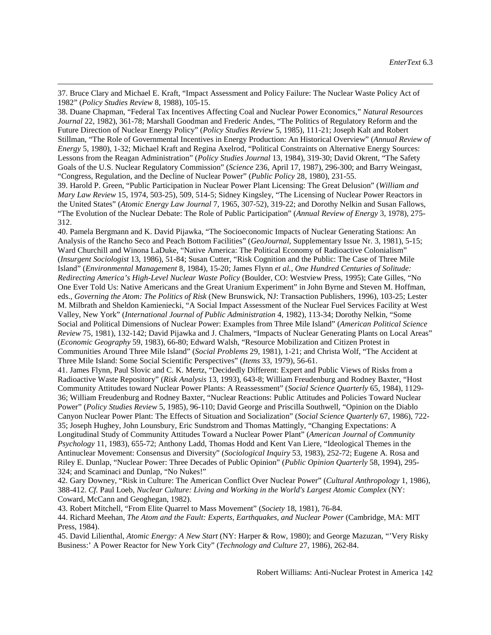37. Bruce Clary and Michael E. Kraft, "Impact Assessment and Policy Failure: The Nuclear Waste Policy Act of 1982" (*Policy Studies Review* 8, 1988), 105-15.

 $\overline{a}$ 

<span id="page-31-0"></span>38. Duane Chapman, "Federal Tax Incentives Affecting Coal and Nuclear Power Economics," *Natural Resources Journal* 22, 1982), 361-78; Marshall Goodman and Frederic Andes, "The Politics of Regulatory Reform and the Future Direction of Nuclear Energy Policy" (*Policy Studies Review* 5, 1985), 111-21; Joseph Kalt and Robert Stillman, "The Role of Governmental Incentives in Energy Production: An Historical Overview" (*Annual Review of Energy* 5, 1980), 1-32; Michael Kraft and Regina Axelrod, "Political Constraints on Alternative Energy Sources: Lessons from the Reagan Administration" (*Policy Studies Journal* 13, 1984), 319-30; David Okrent, "The Safety Goals of the U.S. Nuclear Regulatory Commission" (*Science* 236, April 17, 1987), 296-300; and Barry Weingast, "Congress, Regulation, and the Decline of Nuclear Power" (*Public Policy* 28, 1980), 231-55.

<span id="page-31-3"></span><span id="page-31-2"></span><span id="page-31-1"></span>39. Harold P. Green, "Public Participation in Nuclear Power Plant Licensing: The Great Delusion" (*William and Mary Law Review* 15, 1974, 503-25), 509, 514-5; Sidney Kingsley, "The Licensing of Nuclear Power Reactors in the United States" (*Atomic Energy Law Journal* 7, 1965, 307-52), 319-22; and Dorothy Nelkin and Susan Fallows, "The Evolution of the Nuclear Debate: The Role of Public Participation" (*Annual Review of Energy* 3, 1978), 275- 312.

<span id="page-31-4"></span>40. Pamela Bergmann and K. David Pijawka, "The Socioeconomic Impacts of Nuclear Generating Stations: An Analysis of the Rancho Seco and Peach Bottom Facilities" (*GeoJournal*, Supplementary Issue Nr. 3, 1981), 5-15; Ward Churchill and Winona LaDuke, "Native America: The Political Economy of Radioactive Colonialism" (*Insurgent Sociologist* 13, 1986), 51-84; Susan Cutter, "Risk Cognition and the Public: The Case of Three Mile Island" (*Environmental Management* 8, 1984), 15-20; James Flynn *et al.*, *One Hundred Centuries of Solitude: Redirecting America's High-Level Nuclear Waste Policy* (Boulder, CO: Westview Press, 1995); Cate Gilles, "No One Ever Told Us: Native Americans and the Great Uranium Experiment" in John Byrne and Steven M. Hoffman, eds., *Governing the Atom: The Politics of Risk* (New Brunswick, NJ: Transaction Publishers, 1996), 103-25; Lester M. Milbrath and Sheldon Kamieniecki, "A Social Impact Assessment of the Nuclear Fuel Services Facility at West Valley, New York" (*International Journal of Public Administration* 4, 1982), 113-34; Dorothy Nelkin, "Some Social and Political Dimensions of Nuclear Power: Examples from Three Mile Island" (*American Political Science Review* 75, 1981), 132-142; David Pijawka and J. Chalmers, "Impacts of Nuclear Generating Plants on Local Areas" (*Economic Geography* 59, 1983), 66-80; Edward Walsh, "Resource Mobilization and Citizen Protest in Communities Around Three Mile Island" (*Social Problems* 29, 1981), 1-21; and Christa Wolf, "The Accident at Three Mile Island: Some Social Scientific Perspectives" (*Items* 33, 1979), 56-61.

41. James Flynn, Paul Slovic and C. K. Mertz, "Decidedly Different: Expert and Public Views of Risks from a Radioactive Waste Repository" (*Risk Analysis* 13, 1993), 643-8; William Freudenburg and Rodney Baxter, "Host Community Attitudes toward Nuclear Power Plants: A Reassessment" (*Social Science Quarterly* 65, 1984), 1129- 36; William Freudenburg and Rodney Baxter, "Nuclear Reactions: Public Attitudes and Policies Toward Nuclear Power" (*Policy Studies Review* 5, 1985), 96-110; David George and Priscilla Southwell, "Opinion on the Diablo Canyon Nuclear Power Plant: The Effects of Situation and Socialization" (*Social Science Quarterly* 67, 1986), 722- 35; Joseph Hughey, John Lounsbury, Eric Sundstrom and Thomas Mattingly, "Changing Expectations: A Longitudinal Study of Community Attitudes Toward a Nuclear Power Plant" (*American Journal of Community Psychology* 11, 1983), 655-72; Anthony Ladd, Thomas Hodd and Kent Van Liere, "Ideological Themes in the Antinuclear Movement: Consensus and Diversity" (*Sociological Inquiry* 53, 1983), 252-72; Eugene A. Rosa and Riley E. Dunlap, "Nuclear Power: Three Decades of Public Opinion" (*Public Opinion Quarterly* 58, 1994), 295- 324; and Scaminaci and Dunlap, "No Nukes!"

42. Gary Downey, "Risk in Culture: The American Conflict Over Nuclear Power" (*Cultural Anthropology* 1, 1986), 388-412. *Cf.* Paul Loeb, *Nuclear Culture: Living and Working in the World's Largest Atomic Complex* (NY: Coward, McCann and Geoghegan, 1982).

43. Robert Mitchell, "From Elite Quarrel to Mass Movement" (*Society* 18, 1981), 76-84.

44. Richard Meehan, *The Atom and the Fault: Experts, Earthquakes, and Nuclear Power* (Cambridge, MA: MIT Press, 1984).

45. David Lilienthal, *Atomic Energy: A New Start* (NY: Harper & Row, 1980); and George Mazuzan, "'Very Risky Business:' A Power Reactor for New York City" (*Technology and Culture* 27, 1986), 262-84.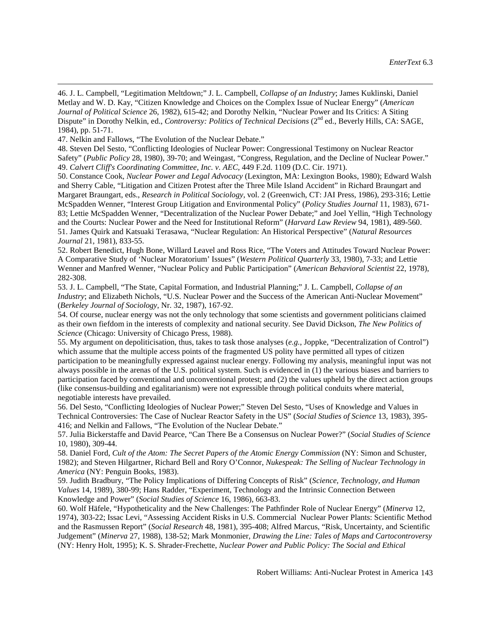47. Nelkin and Fallows, "The Evolution of the Nuclear Debate."

 $\overline{a}$ 

50. Constance Cook, *Nuclear Power and Legal Advocacy* (Lexington, MA: Lexington Books, 1980); Edward Walsh and Sherry Cable, "Litigation and Citizen Protest after the Three Mile Island Accident" in Richard Braungart and Margaret Braungart, eds., *Research in Political Sociology*, vol. 2 (Greenwich, CT: JAI Press, 1986), 293-316; Lettie McSpadden Wenner, "Interest Group Litigation and Environmental Policy" (*Policy Studies Journal* 11, 1983), 671- 83; Lettie McSpadden Wenner, "Decentralization of the Nuclear Power Debate;" and Joel Yellin, "High Technology and the Courts: Nuclear Power and the Need for Institutional Reform" (*Harvard Law Review* 94, 1981), 489-560. 51. James Quirk and Katsuaki Terasawa, "Nuclear Regulation: An Historical Perspective" (*Natural Resources Journal* 21, 1981), 833-55.

52. Robert Benedict, Hugh Bone, Willard Leavel and Ross Rice, "The Voters and Attitudes Toward Nuclear Power: A Comparative Study of 'Nuclear Moratorium' Issues" (*Western Political Quarterly* 33, 1980), 7-33; and Lettie Wenner and Manfred Wenner, "Nuclear Policy and Public Participation" (*American Behavioral Scientist* 22, 1978), 282-308.

<span id="page-32-0"></span>53. J. L. Campbell, "The State, Capital Formation, and Industrial Planning;" J. L. Campbell, *Collapse of an Industry*; and Elizabeth Nichols, "U.S. Nuclear Power and the Success of the American Anti-Nuclear Movement" (*Berkeley Journal of Sociology*, Nr. 32, 1987), 167-92.

54. Of course, nuclear energy was not the only technology that some scientists and government politicians claimed as their own fiefdom in the interests of complexity and national security. See David Dickson, *The New Politics of Science* (Chicago: University of Chicago Press, 1988).

55. My argument on depoliticisation, thus, takes to task those analyses (*e.g.*, Joppke, "Decentralization of Control") which assume that the multiple access points of the fragmented US polity have permitted all types of citizen participation to be meaningfully expressed against nuclear energy. Following my analysis, meaningful input was not always possible in the arenas of the U.S. political system. Such is evidenced in (1) the various biases and barriers to participation faced by conventional and unconventional protest; and (2) the values upheld by the direct action groups (like consensus-building and egalitarianism) were not expressible through political conduits where material, negotiable interests have prevailed.

<span id="page-32-2"></span><span id="page-32-1"></span>56. Del Sesto, "Conflicting Ideologies of Nuclear Power;" Steven Del Sesto, "Uses of Knowledge and Values in Technical Controversies: The Case of Nuclear Reactor Safety in the US" (*Social Studies of Science* 13, 1983), 395- 416; and Nelkin and Fallows, "The Evolution of the Nuclear Debate."

<span id="page-32-3"></span>57. Julia Bickerstaffe and David Pearce, "Can There Be a Consensus on Nuclear Power?" (*Social Studies of Science* 10, 1980), 309-44.

58. Daniel Ford, *Cult of the Atom: The Secret Papers of the Atomic Energy Commission* (NY: Simon and Schuster, 1982); and Steven Hilgartner, Richard Bell and Rory O'Connor, *Nukespeak: The Selling of Nuclear Technology in America* (NY: Penguin Books, 1983).

59. Judith Bradbury, "The Policy Implications of Differing Concepts of Risk" (*Science, Technology, and Human Values* 14, 1989), 380-99; Hans Radder, "Experiment, Technology and the Intrinsic Connection Between Knowledge and Power" (*Social Studies of Science* 16, 1986), 663-83.

60. Wolf Häfele, "Hypotheticality and the New Challenges: The Pathfinder Role of Nuclear Energy" (*Minerva* 12, 1974), 303-22; Issac Levi, "Assessing Accident Risks in U.S. Commercial Nuclear Power Plants: Scientific Method and the Rasmussen Report" (*Social Research* 48, 1981), 395-408; Alfred Marcus, "Risk, Uncertainty, and Scientific Judgement" (*Minerva* 27, 1988), 138-52; Mark Monmonier, *Drawing the Line: Tales of Maps and Cartocontroversy* (NY: Henry Holt, 1995); K. S. Shrader-Frechette, *Nuclear Power and Public Policy: The Social and Ethical* 

<sup>46.</sup> J. L. Campbell, "Legitimation Meltdown;" J. L. Campbell, *Collapse of an Industry*; James Kuklinski, Daniel Metlay and W. D. Kay, "Citizen Knowledge and Choices on the Complex Issue of Nuclear Energy" (*American Journal of Political Science* 26, 1982), 615-42; and Dorothy Nelkin, "Nuclear Power and Its Critics: A Siting Dispute" in Dorothy Nelkin, ed., *Controversy: Politics of Technical Decisions* (2<sup>nd</sup> ed., Beverly Hills, CA: SAGE, 1984), pp. 51-71.

<sup>48.</sup> Steven Del Sesto, "Conflicting Ideologies of Nuclear Power: Congressional Testimony on Nuclear Reactor Safety" (*Public Policy* 28, 1980), 39-70; and Weingast, "Congress, Regulation, and the Decline of Nuclear Power." 49. *Calvert Cliff's Coordinating Committee, Inc. v. AEC*, 449 F.2d. 1109 (D.C. Cir. 1971).